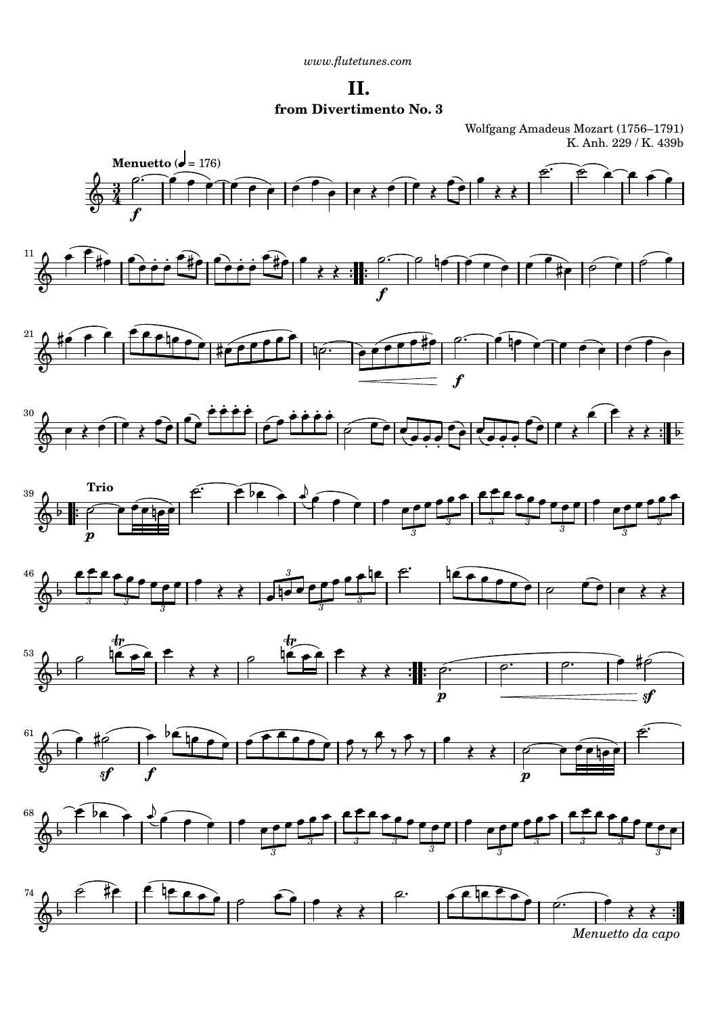**II. from Divertimento No. 3**

Wolfgang Amadeus Mozart (1756–1791) K. Anh. 229 / K. 439b



















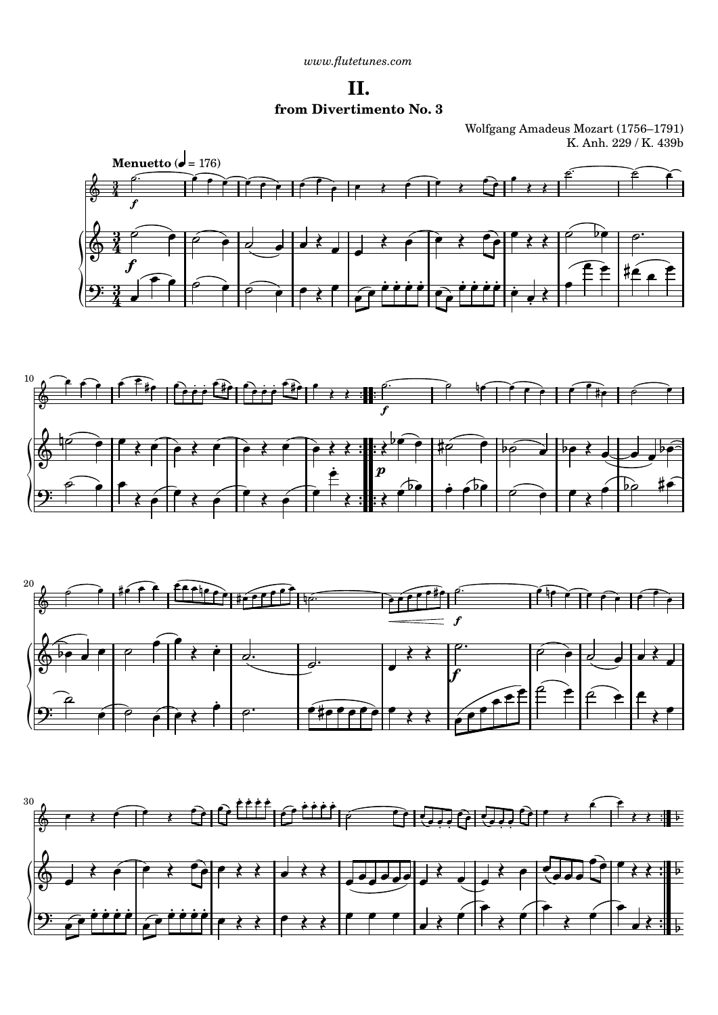**II. from Divertimento No. 3**

Wolfgang Amadeus Mozart (1756–1791) K. Anh. 229 / K. 439b